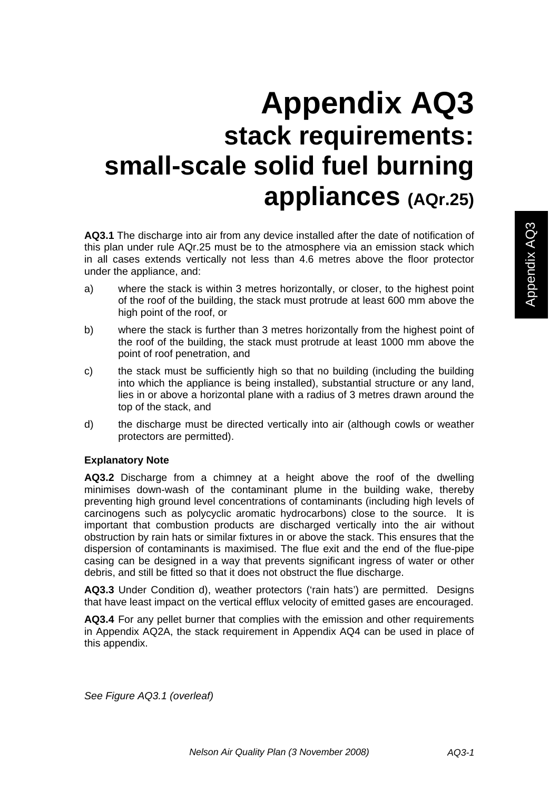## **Appendix AQ3 stack requirements: small-scale solid fuel burning appliances (AQr.25)**

**AQ3.1** The discharge into air from any device installed after the date of notification of this plan under rule AQr.25 must be to the atmosphere via an emission stack which in all cases extends vertically not less than 4.6 metres above the floor protector under the appliance, and:

- a) where the stack is within 3 metres horizontally, or closer, to the highest point of the roof of the building, the stack must protrude at least 600 mm above the high point of the roof, or
- b) where the stack is further than 3 metres horizontally from the highest point of the roof of the building, the stack must protrude at least 1000 mm above the point of roof penetration, and
- c) the stack must be sufficiently high so that no building (including the building into which the appliance is being installed), substantial structure or any land, lies in or above a horizontal plane with a radius of 3 metres drawn around the top of the stack, and
- d) the discharge must be directed vertically into air (although cowls or weather protectors are permitted).

## **Explanatory Note**

**AQ3.2** Discharge from a chimney at a height above the roof of the dwelling minimises down-wash of the contaminant plume in the building wake, thereby preventing high ground level concentrations of contaminants (including high levels of carcinogens such as polycyclic aromatic hydrocarbons) close to the source. It is important that combustion products are discharged vertically into the air without obstruction by rain hats or similar fixtures in or above the stack. This ensures that the dispersion of contaminants is maximised. The flue exit and the end of the flue-pipe casing can be designed in a way that prevents significant ingress of water or other debris, and still be fitted so that it does not obstruct the flue discharge.

**AQ3.3** Under Condition d), weather protectors ('rain hats') are permitted. Designs that have least impact on the vertical efflux velocity of emitted gases are encouraged.

**AQ3.4** For any pellet burner that complies with the emission and other requirements in Appendix AQ2A, the stack requirement in Appendix AQ4 can be used in place of this appendix.

*See Figure AQ3.1 (overleaf)*